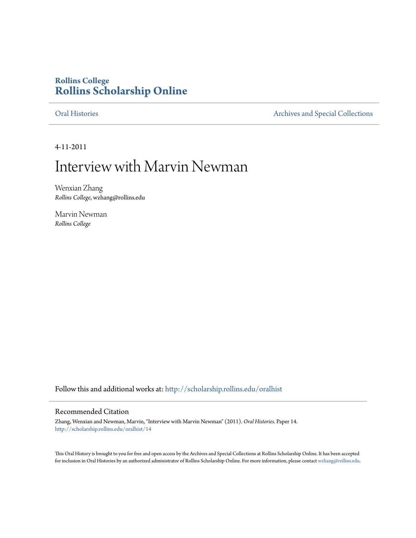### **Rollins College [Rollins Scholarship Online](http://scholarship.rollins.edu?utm_source=scholarship.rollins.edu%2Foralhist%2F14&utm_medium=PDF&utm_campaign=PDFCoverPages)**

[Oral Histories](http://scholarship.rollins.edu/oralhist?utm_source=scholarship.rollins.edu%2Foralhist%2F14&utm_medium=PDF&utm_campaign=PDFCoverPages) **[Archives and Special Collections](http://scholarship.rollins.edu/archives?utm_source=scholarship.rollins.edu%2Foralhist%2F14&utm_medium=PDF&utm_campaign=PDFCoverPages)** 

4-11-2011

## Interview with Marvin Newman

Wenxian Zhang *Rollins College*, wzhang@rollins.edu

Marvin Newman *Rollins College*

Follow this and additional works at: [http://scholarship.rollins.edu/oralhist](http://scholarship.rollins.edu/oralhist?utm_source=scholarship.rollins.edu%2Foralhist%2F14&utm_medium=PDF&utm_campaign=PDFCoverPages)

#### Recommended Citation

Zhang, Wenxian and Newman, Marvin, "Interview with Marvin Newman" (2011). *Oral Histories.* Paper 14. [http://scholarship.rollins.edu/oralhist/14](http://scholarship.rollins.edu/oralhist/14?utm_source=scholarship.rollins.edu%2Foralhist%2F14&utm_medium=PDF&utm_campaign=PDFCoverPages)

This Oral History is brought to you for free and open access by the Archives and Special Collections at Rollins Scholarship Online. It has been accepted for inclusion in Oral Histories by an authorized administrator of Rollins Scholarship Online. For more information, please contact [wzhang@rollins.edu](mailto:wzhang@rollins.edu).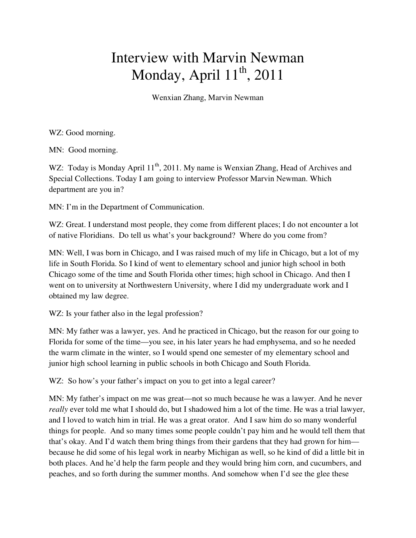# Interview with Marvin Newman Monday, April  $11^{th}$ , 2011

Wenxian Zhang, Marvin Newman

WZ: Good morning.

MN: Good morning.

WZ: Today is Monday April 11<sup>th</sup>, 2011. My name is Wenxian Zhang, Head of Archives and Special Collections. Today I am going to interview Professor Marvin Newman. Which department are you in?

MN: I'm in the Department of Communication.

WZ: Great. I understand most people, they come from different places; I do not encounter a lot of native Floridians. Do tell us what's your background? Where do you come from?

MN: Well, I was born in Chicago, and I was raised much of my life in Chicago, but a lot of my life in South Florida. So I kind of went to elementary school and junior high school in both Chicago some of the time and South Florida other times; high school in Chicago. And then I went on to university at Northwestern University, where I did my undergraduate work and I obtained my law degree.

WZ: Is your father also in the legal profession?

MN: My father was a lawyer, yes. And he practiced in Chicago, but the reason for our going to Florida for some of the time—you see, in his later years he had emphysema, and so he needed the warm climate in the winter, so I would spend one semester of my elementary school and junior high school learning in public schools in both Chicago and South Florida.

WZ: So how's your father's impact on you to get into a legal career?

MN: My father's impact on me was great—not so much because he was a lawyer. And he never *really* ever told me what I should do, but I shadowed him a lot of the time. He was a trial lawyer, and I loved to watch him in trial. He was a great orator. And I saw him do so many wonderful things for people. And so many times some people couldn't pay him and he would tell them that that's okay. And I'd watch them bring things from their gardens that they had grown for him because he did some of his legal work in nearby Michigan as well, so he kind of did a little bit in both places. And he'd help the farm people and they would bring him corn, and cucumbers, and peaches, and so forth during the summer months. And somehow when I'd see the glee these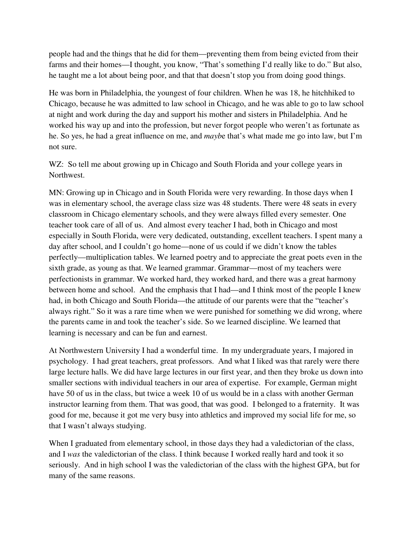people had and the things that he did for them—preventing them from being evicted from their farms and their homes—I thought, you know, "That's something I'd really like to do." But also, he taught me a lot about being poor, and that that doesn't stop you from doing good things.

He was born in Philadelphia, the youngest of four children. When he was 18, he hitchhiked to Chicago, because he was admitted to law school in Chicago, and he was able to go to law school at night and work during the day and support his mother and sisters in Philadelphia. And he worked his way up and into the profession, but never forgot people who weren't as fortunate as he. So yes, he had a great influence on me, and *mayb*e that's what made me go into law, but I'm not sure.

WZ: So tell me about growing up in Chicago and South Florida and your college years in Northwest.

MN: Growing up in Chicago and in South Florida were very rewarding. In those days when I was in elementary school, the average class size was 48 students. There were 48 seats in every classroom in Chicago elementary schools, and they were always filled every semester. One teacher took care of all of us. And almost every teacher I had, both in Chicago and most especially in South Florida, were very dedicated, outstanding, excellent teachers. I spent many a day after school, and I couldn't go home—none of us could if we didn't know the tables perfectly—multiplication tables. We learned poetry and to appreciate the great poets even in the sixth grade, as young as that. We learned grammar. Grammar—most of my teachers were perfectionists in grammar. We worked hard, they worked hard, and there was a great harmony between home and school. And the emphasis that I had—and I think most of the people I knew had, in both Chicago and South Florida—the attitude of our parents were that the "teacher's always right." So it was a rare time when we were punished for something we did wrong, where the parents came in and took the teacher's side. So we learned discipline. We learned that learning is necessary and can be fun and earnest.

At Northwestern University I had a wonderful time. In my undergraduate years, I majored in psychology. I had great teachers, great professors. And what I liked was that rarely were there large lecture halls. We did have large lectures in our first year, and then they broke us down into smaller sections with individual teachers in our area of expertise. For example, German might have 50 of us in the class, but twice a week 10 of us would be in a class with another German instructor learning from them. That was good, that was good. I belonged to a fraternity. It was good for me, because it got me very busy into athletics and improved my social life for me, so that I wasn't always studying.

When I graduated from elementary school, in those days they had a valedictorian of the class, and I *was* the valedictorian of the class. I think because I worked really hard and took it so seriously. And in high school I was the valedictorian of the class with the highest GPA, but for many of the same reasons.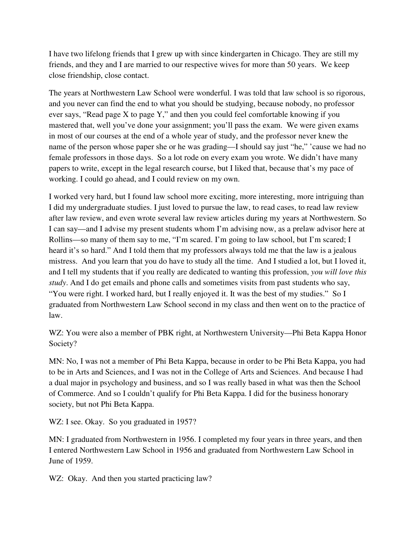I have two lifelong friends that I grew up with since kindergarten in Chicago. They are still my friends, and they and I are married to our respective wives for more than 50 years. We keep close friendship, close contact.

The years at Northwestern Law School were wonderful. I was told that law school is so rigorous, and you never can find the end to what you should be studying, because nobody, no professor ever says, "Read page X to page Y," and then you could feel comfortable knowing if you mastered that, well you've done your assignment; you'll pass the exam. We were given exams in most of our courses at the end of a whole year of study, and the professor never knew the name of the person whose paper she or he was grading—I should say just "he," 'cause we had no female professors in those days. So a lot rode on every exam you wrote. We didn't have many papers to write, except in the legal research course, but I liked that, because that's my pace of working. I could go ahead, and I could review on my own.

I worked very hard, but I found law school more exciting, more interesting, more intriguing than I did my undergraduate studies. I just loved to pursue the law, to read cases, to read law review after law review, and even wrote several law review articles during my years at Northwestern. So I can say—and I advise my present students whom I'm advising now, as a prelaw advisor here at Rollins—so many of them say to me, "I'm scared. I'm going to law school, but I'm scared; I heard it's so hard." And I told them that my professors always told me that the law is a jealous mistress. And you learn that you do have to study all the time. And I studied a lot, but I loved it, and I tell my students that if you really are dedicated to wanting this profession, *you will love this study*. And I do get emails and phone calls and sometimes visits from past students who say, "You were right. I worked hard, but I really enjoyed it. It was the best of my studies." So I graduated from Northwestern Law School second in my class and then went on to the practice of law.

WZ: You were also a member of PBK right, at Northwestern University—Phi Beta Kappa Honor Society?

MN: No, I was not a member of Phi Beta Kappa, because in order to be Phi Beta Kappa, you had to be in Arts and Sciences, and I was not in the College of Arts and Sciences. And because I had a dual major in psychology and business, and so I was really based in what was then the School of Commerce. And so I couldn't qualify for Phi Beta Kappa. I did for the business honorary society, but not Phi Beta Kappa.

WZ: I see. Okay. So you graduated in 1957?

MN: I graduated from Northwestern in 1956. I completed my four years in three years, and then I entered Northwestern Law School in 1956 and graduated from Northwestern Law School in June of 1959.

WZ: Okay. And then you started practicing law?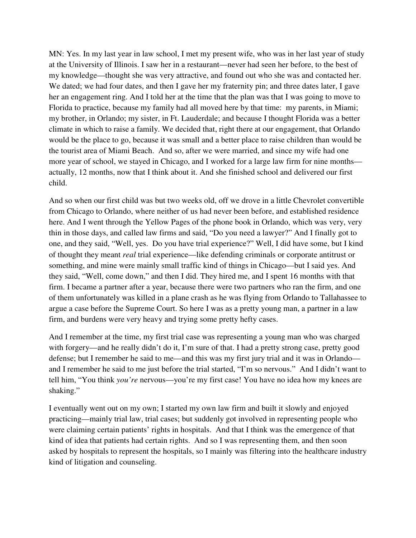MN: Yes. In my last year in law school, I met my present wife, who was in her last year of study at the University of Illinois. I saw her in a restaurant—never had seen her before, to the best of my knowledge—thought she was very attractive, and found out who she was and contacted her. We dated; we had four dates, and then I gave her my fraternity pin; and three dates later, I gave her an engagement ring. And I told her at the time that the plan was that I was going to move to Florida to practice, because my family had all moved here by that time: my parents, in Miami; my brother, in Orlando; my sister, in Ft. Lauderdale; and because I thought Florida was a better climate in which to raise a family. We decided that, right there at our engagement, that Orlando would be the place to go, because it was small and a better place to raise children than would be the tourist area of Miami Beach. And so, after we were married, and since my wife had one more year of school, we stayed in Chicago, and I worked for a large law firm for nine months actually, 12 months, now that I think about it. And she finished school and delivered our first child.

And so when our first child was but two weeks old, off we drove in a little Chevrolet convertible from Chicago to Orlando, where neither of us had never been before, and established residence here. And I went through the Yellow Pages of the phone book in Orlando, which was very, very thin in those days, and called law firms and said, "Do you need a lawyer?" And I finally got to one, and they said, "Well, yes. Do you have trial experience?" Well, I did have some, but I kind of thought they meant *real* trial experience—like defending criminals or corporate antitrust or something, and mine were mainly small traffic kind of things in Chicago—but I said yes. And they said, "Well, come down," and then I did. They hired me, and I spent 16 months with that firm. I became a partner after a year, because there were two partners who ran the firm, and one of them unfortunately was killed in a plane crash as he was flying from Orlando to Tallahassee to argue a case before the Supreme Court. So here I was as a pretty young man, a partner in a law firm, and burdens were very heavy and trying some pretty hefty cases.

And I remember at the time, my first trial case was representing a young man who was charged with forgery—and he really didn't do it, I'm sure of that. I had a pretty strong case, pretty good defense; but I remember he said to me—and this was my first jury trial and it was in Orlando and I remember he said to me just before the trial started, "I'm so nervous." And I didn't want to tell him, "You think *you're* nervous—you're my first case! You have no idea how my knees are shaking."

I eventually went out on my own; I started my own law firm and built it slowly and enjoyed practicing—mainly trial law, trial cases; but suddenly got involved in representing people who were claiming certain patients' rights in hospitals. And that I think was the emergence of that kind of idea that patients had certain rights. And so I was representing them, and then soon asked by hospitals to represent the hospitals, so I mainly was filtering into the healthcare industry kind of litigation and counseling.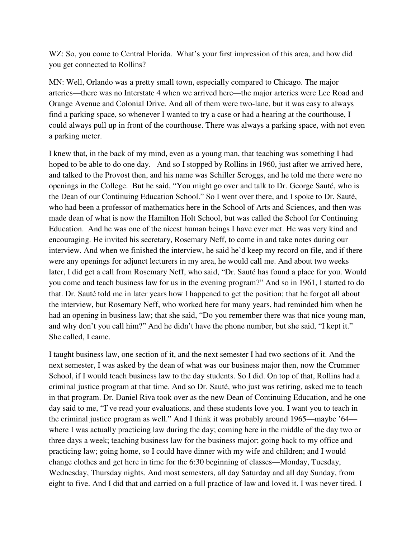WZ: So, you come to Central Florida. What's your first impression of this area, and how did you get connected to Rollins?

MN: Well, Orlando was a pretty small town, especially compared to Chicago. The major arteries—there was no Interstate 4 when we arrived here—the major arteries were Lee Road and Orange Avenue and Colonial Drive. And all of them were two-lane, but it was easy to always find a parking space, so whenever I wanted to try a case or had a hearing at the courthouse, I could always pull up in front of the courthouse. There was always a parking space, with not even a parking meter.

I knew that, in the back of my mind, even as a young man, that teaching was something I had hoped to be able to do one day. And so I stopped by Rollins in 1960, just after we arrived here, and talked to the Provost then, and his name was Schiller Scroggs, and he told me there were no openings in the College. But he said, "You might go over and talk to Dr. George Sauté, who is the Dean of our Continuing Education School." So I went over there, and I spoke to Dr. Sauté, who had been a professor of mathematics here in the School of Arts and Sciences, and then was made dean of what is now the Hamilton Holt School, but was called the School for Continuing Education. And he was one of the nicest human beings I have ever met. He was very kind and encouraging. He invited his secretary, Rosemary Neff, to come in and take notes during our interview. And when we finished the interview, he said he'd keep my record on file, and if there were any openings for adjunct lecturers in my area, he would call me. And about two weeks later, I did get a call from Rosemary Neff, who said, "Dr. Sauté has found a place for you. Would you come and teach business law for us in the evening program?" And so in 1961, I started to do that. Dr. Sauté told me in later years how I happened to get the position; that he forgot all about the interview, but Rosemary Neff, who worked here for many years, had reminded him when he had an opening in business law; that she said, "Do you remember there was that nice young man, and why don't you call him?" And he didn't have the phone number, but she said, "I kept it." She called, I came.

I taught business law, one section of it, and the next semester I had two sections of it. And the next semester, I was asked by the dean of what was our business major then, now the Crummer School, if I would teach business law to the day students. So I did. On top of that, Rollins had a criminal justice program at that time. And so Dr. Sauté, who just was retiring, asked me to teach in that program. Dr. Daniel Riva took over as the new Dean of Continuing Education, and he one day said to me, "I've read your evaluations, and these students love you. I want you to teach in the criminal justice program as well." And I think it was probably around 1965—maybe '64 where I was actually practicing law during the day; coming here in the middle of the day two or three days a week; teaching business law for the business major; going back to my office and practicing law; going home, so I could have dinner with my wife and children; and I would change clothes and get here in time for the 6:30 beginning of classes—Monday, Tuesday, Wednesday, Thursday nights. And most semesters, all day Saturday and all day Sunday, from eight to five. And I did that and carried on a full practice of law and loved it. I was never tired. I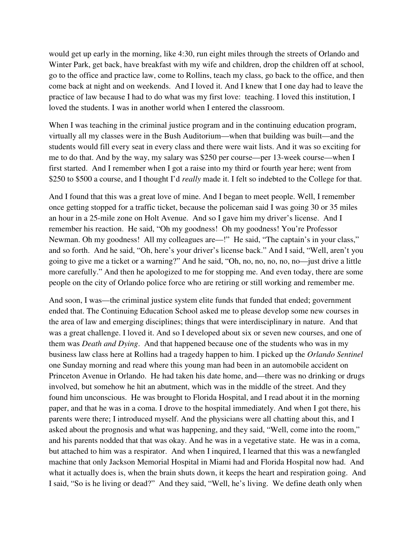would get up early in the morning, like 4:30, run eight miles through the streets of Orlando and Winter Park, get back, have breakfast with my wife and children, drop the children off at school, go to the office and practice law, come to Rollins, teach my class, go back to the office, and then come back at night and on weekends. And I loved it. And I knew that I one day had to leave the practice of law because I had to do what was my first love: teaching. I loved this institution, I loved the students. I was in another world when I entered the classroom.

When I was teaching in the criminal justice program and in the continuing education program, virtually all my classes were in the Bush Auditorium—when that building was built—and the students would fill every seat in every class and there were wait lists. And it was so exciting for me to do that. And by the way, my salary was \$250 per course—per 13-week course—when I first started. And I remember when I got a raise into my third or fourth year here; went from \$250 to \$500 a course, and I thought I'd *really* made it. I felt so indebted to the College for that.

And I found that this was a great love of mine. And I began to meet people. Well, I remember once getting stopped for a traffic ticket, because the policeman said I was going 30 or 35 miles an hour in a 25-mile zone on Holt Avenue. And so I gave him my driver's license. And I remember his reaction. He said, "Oh my goodness! Oh my goodness! You're Professor Newman. Oh my goodness! All my colleagues are—!" He said, "The captain's in your class," and so forth. And he said, "Oh, here's your driver's license back." And I said, "Well, aren't you going to give me a ticket or a warning?" And he said, "Oh, no, no, no, no, no—just drive a little more carefully." And then he apologized to me for stopping me. And even today, there are some people on the city of Orlando police force who are retiring or still working and remember me.

And soon, I was—the criminal justice system elite funds that funded that ended; government ended that. The Continuing Education School asked me to please develop some new courses in the area of law and emerging disciplines; things that were interdisciplinary in nature. And that was a great challenge. I loved it. And so I developed about six or seven new courses, and one of them was *Death and Dying*. And that happened because one of the students who was in my business law class here at Rollins had a tragedy happen to him. I picked up the *Orlando Sentinel*  one Sunday morning and read where this young man had been in an automobile accident on Princeton Avenue in Orlando. He had taken his date home, and—there was no drinking or drugs involved, but somehow he hit an abutment, which was in the middle of the street. And they found him unconscious. He was brought to Florida Hospital, and I read about it in the morning paper, and that he was in a coma. I drove to the hospital immediately. And when I got there, his parents were there; I introduced myself. And the physicians were all chatting about this, and I asked about the prognosis and what was happening, and they said, "Well, come into the room," and his parents nodded that that was okay. And he was in a vegetative state. He was in a coma, but attached to him was a respirator. And when I inquired, I learned that this was a newfangled machine that only Jackson Memorial Hospital in Miami had and Florida Hospital now had. And what it actually does is, when the brain shuts down, it keeps the heart and respiration going. And I said, "So is he living or dead?" And they said, "Well, he's living. We define death only when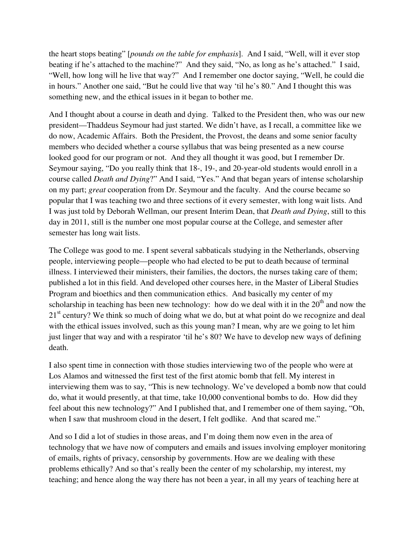the heart stops beating" [*pounds on the table for emphasis*]. And I said, "Well, will it ever stop beating if he's attached to the machine?" And they said, "No, as long as he's attached." I said, "Well, how long will he live that way?" And I remember one doctor saying, "Well, he could die in hours." Another one said, "But he could live that way 'til he's 80." And I thought this was something new, and the ethical issues in it began to bother me.

And I thought about a course in death and dying. Talked to the President then, who was our new president—Thaddeus Seymour had just started. We didn't have, as I recall, a committee like we do now, Academic Affairs. Both the President, the Provost, the deans and some senior faculty members who decided whether a course syllabus that was being presented as a new course looked good for our program or not. And they all thought it was good, but I remember Dr. Seymour saying, "Do you really think that 18-, 19-, and 20-year-old students would enroll in a course called *Death and Dying*?" And I said, "Yes." And that began years of intense scholarship on my part; *great* cooperation from Dr. Seymour and the faculty. And the course became so popular that I was teaching two and three sections of it every semester, with long wait lists. And I was just told by Deborah Wellman, our present Interim Dean, that *Death and Dying*, still to this day in 2011, still is the number one most popular course at the College, and semester after semester has long wait lists.

The College was good to me. I spent several sabbaticals studying in the Netherlands, observing people, interviewing people—people who had elected to be put to death because of terminal illness. I interviewed their ministers, their families, the doctors, the nurses taking care of them; published a lot in this field. And developed other courses here, in the Master of Liberal Studies Program and bioethics and then communication ethics. And basically my center of my scholarship in teaching has been new technology: how do we deal with it in the  $20<sup>th</sup>$  and now the  $21<sup>st</sup>$  century? We think so much of doing what we do, but at what point do we recognize and deal with the ethical issues involved, such as this young man? I mean, why are we going to let him just linger that way and with a respirator 'til he's 80? We have to develop new ways of defining death.

I also spent time in connection with those studies interviewing two of the people who were at Los Alamos and witnessed the first test of the first atomic bomb that fell. My interest in interviewing them was to say, "This is new technology. We've developed a bomb now that could do, what it would presently, at that time, take 10,000 conventional bombs to do. How did they feel about this new technology?" And I published that, and I remember one of them saying, "Oh, when I saw that mushroom cloud in the desert, I felt godlike. And that scared me."

And so I did a lot of studies in those areas, and I'm doing them now even in the area of technology that we have now of computers and emails and issues involving employer monitoring of emails, rights of privacy, censorship by governments. How are we dealing with these problems ethically? And so that's really been the center of my scholarship, my interest, my teaching; and hence along the way there has not been a year, in all my years of teaching here at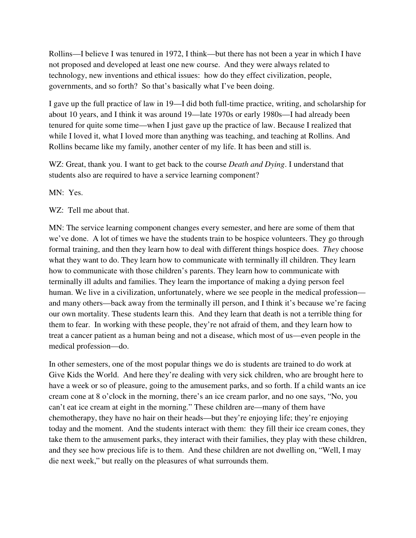Rollins—I believe I was tenured in 1972, I think—but there has not been a year in which I have not proposed and developed at least one new course. And they were always related to technology, new inventions and ethical issues: how do they effect civilization, people, governments, and so forth? So that's basically what I've been doing.

I gave up the full practice of law in 19—I did both full-time practice, writing, and scholarship for about 10 years, and I think it was around 19—late 1970s or early 1980s—I had already been tenured for quite some time—when I just gave up the practice of law. Because I realized that while I loved it, what I loved more than anything was teaching, and teaching at Rollins. And Rollins became like my family, another center of my life. It has been and still is.

WZ: Great, thank you. I want to get back to the course *Death and Dying*. I understand that students also are required to have a service learning component?

MN: Yes.

WZ: Tell me about that.

MN: The service learning component changes every semester, and here are some of them that we've done. A lot of times we have the students train to be hospice volunteers. They go through formal training, and then they learn how to deal with different things hospice does. *They* choose what they want to do. They learn how to communicate with terminally ill children. They learn how to communicate with those children's parents. They learn how to communicate with terminally ill adults and families. They learn the importance of making a dying person feel human. We live in a civilization, unfortunately, where we see people in the medical profession and many others—back away from the terminally ill person, and I think it's because we're facing our own mortality. These students learn this. And they learn that death is not a terrible thing for them to fear. In working with these people, they're not afraid of them, and they learn how to treat a cancer patient as a human being and not a disease, which most of us—even people in the medical profession—do.

In other semesters, one of the most popular things we do is students are trained to do work at Give Kids the World. And here they're dealing with very sick children, who are brought here to have a week or so of pleasure, going to the amusement parks, and so forth. If a child wants an ice cream cone at 8 o'clock in the morning, there's an ice cream parlor, and no one says, "No, you can't eat ice cream at eight in the morning." These children are—many of them have chemotherapy, they have no hair on their heads—but they're enjoying life; they're enjoying today and the moment. And the students interact with them: they fill their ice cream cones, they take them to the amusement parks, they interact with their families, they play with these children, and they see how precious life is to them. And these children are not dwelling on, "Well, I may die next week," but really on the pleasures of what surrounds them.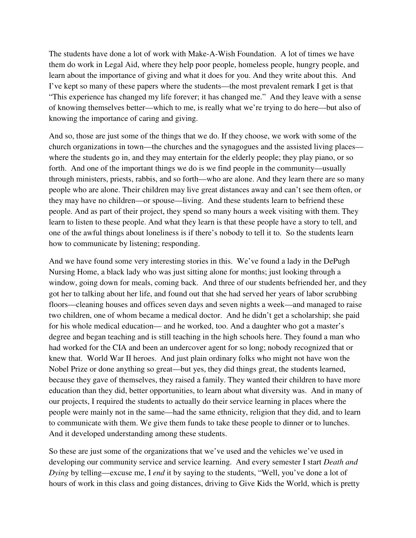The students have done a lot of work with Make-A-Wish Foundation. A lot of times we have them do work in Legal Aid, where they help poor people, homeless people, hungry people, and learn about the importance of giving and what it does for you. And they write about this. And I've kept so many of these papers where the students—the most prevalent remark I get is that "This experience has changed my life forever; it has changed me." And they leave with a sense of knowing themselves better—which to me, is really what we're trying to do here—but also of knowing the importance of caring and giving.

And so, those are just some of the things that we do. If they choose, we work with some of the church organizations in town—the churches and the synagogues and the assisted living places where the students go in, and they may entertain for the elderly people; they play piano, or so forth. And one of the important things we do is we find people in the community—usually through ministers, priests, rabbis, and so forth—who are alone. And they learn there are so many people who are alone. Their children may live great distances away and can't see them often, or they may have no children—or spouse—living. And these students learn to befriend these people. And as part of their project, they spend so many hours a week visiting with them. They learn to listen to these people. And what they learn is that these people have a story to tell, and one of the awful things about loneliness is if there's nobody to tell it to. So the students learn how to communicate by listening; responding.

And we have found some very interesting stories in this. We've found a lady in the DePugh Nursing Home, a black lady who was just sitting alone for months; just looking through a window, going down for meals, coming back. And three of our students befriended her, and they got her to talking about her life, and found out that she had served her years of labor scrubbing floors—cleaning houses and offices seven days and seven nights a week—and managed to raise two children, one of whom became a medical doctor. And he didn't get a scholarship; she paid for his whole medical education— and he worked, too. And a daughter who got a master's degree and began teaching and is still teaching in the high schools here. They found a man who had worked for the CIA and been an undercover agent for so long; nobody recognized that or knew that. World War II heroes. And just plain ordinary folks who might not have won the Nobel Prize or done anything so great—but yes, they did things great, the students learned, because they gave of themselves, they raised a family. They wanted their children to have more education than they did, better opportunities, to learn about what diversity was. And in many of our projects, I required the students to actually do their service learning in places where the people were mainly not in the same—had the same ethnicity, religion that they did, and to learn to communicate with them. We give them funds to take these people to dinner or to lunches. And it developed understanding among these students.

So these are just some of the organizations that we've used and the vehicles we've used in developing our community service and service learning. And every semester I start *Death and Dying* by telling—excuse me, I *end* it by saying to the students, "Well, you've done a lot of hours of work in this class and going distances, driving to Give Kids the World, which is pretty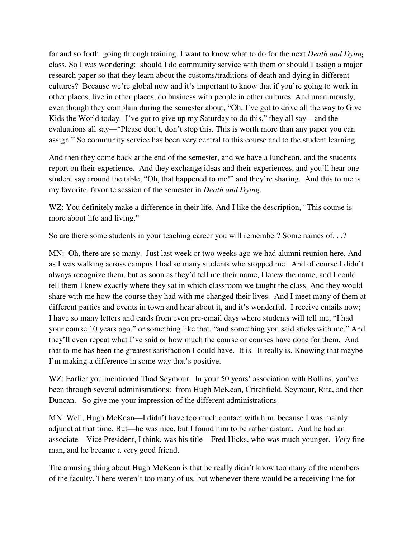far and so forth, going through training. I want to know what to do for the next *Death and Dying*  class. So I was wondering: should I do community service with them or should I assign a major research paper so that they learn about the customs/traditions of death and dying in different cultures? Because we're global now and it's important to know that if you're going to work in other places, live in other places, do business with people in other cultures. And unanimously, even though they complain during the semester about, "Oh, I've got to drive all the way to Give Kids the World today. I've got to give up my Saturday to do this," they all say—and the evaluations all say—"Please don't, don't stop this. This is worth more than any paper you can assign." So community service has been very central to this course and to the student learning.

And then they come back at the end of the semester, and we have a luncheon, and the students report on their experience. And they exchange ideas and their experiences, and you'll hear one student say around the table, "Oh, that happened to me!" and they're sharing. And this to me is my favorite, favorite session of the semester in *Death and Dying*.

WZ: You definitely make a difference in their life. And I like the description, "This course is more about life and living."

So are there some students in your teaching career you will remember? Some names of. . .?

MN: Oh, there are so many. Just last week or two weeks ago we had alumni reunion here. And as I was walking across campus I had so many students who stopped me. And of course I didn't always recognize them, but as soon as they'd tell me their name, I knew the name, and I could tell them I knew exactly where they sat in which classroom we taught the class. And they would share with me how the course they had with me changed their lives. And I meet many of them at different parties and events in town and hear about it, and it's wonderful. I receive emails now; I have so many letters and cards from even pre-email days where students will tell me, "I had your course 10 years ago," or something like that, "and something you said sticks with me." And they'll even repeat what I've said or how much the course or courses have done for them. And that to me has been the greatest satisfaction I could have. It is. It really is. Knowing that maybe I'm making a difference in some way that's positive.

WZ: Earlier you mentioned Thad Seymour. In your 50 years' association with Rollins, you've been through several administrations: from Hugh McKean, Critchfield, Seymour, Rita, and then Duncan. So give me your impression of the different administrations.

MN: Well, Hugh McKean—I didn't have too much contact with him, because I was mainly adjunct at that time. But—he was nice, but I found him to be rather distant. And he had an associate—Vice President, I think, was his title—Fred Hicks, who was much younger. *Very* fine man, and he became a very good friend.

The amusing thing about Hugh McKean is that he really didn't know too many of the members of the faculty. There weren't too many of us, but whenever there would be a receiving line for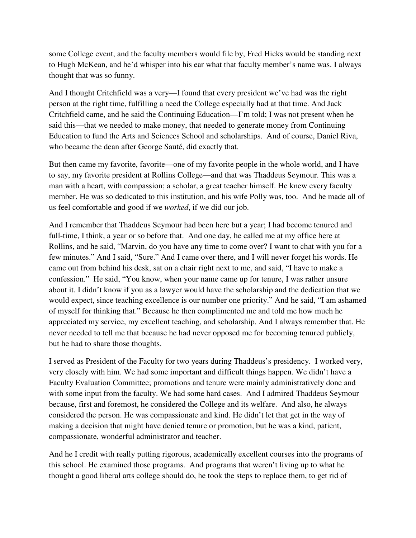some College event, and the faculty members would file by, Fred Hicks would be standing next to Hugh McKean, and he'd whisper into his ear what that faculty member's name was. I always thought that was so funny.

And I thought Critchfield was a very—I found that every president we've had was the right person at the right time, fulfilling a need the College especially had at that time. And Jack Critchfield came, and he said the Continuing Education—I'm told; I was not present when he said this—that we needed to make money, that needed to generate money from Continuing Education to fund the Arts and Sciences School and scholarships. And of course, Daniel Riva, who became the dean after George Sauté, did exactly that.

But then came my favorite, favorite—one of my favorite people in the whole world, and I have to say, my favorite president at Rollins College—and that was Thaddeus Seymour. This was a man with a heart, with compassion; a scholar, a great teacher himself. He knew every faculty member. He was so dedicated to this institution, and his wife Polly was, too. And he made all of us feel comfortable and good if we *worked*, if we did our job.

And I remember that Thaddeus Seymour had been here but a year; I had become tenured and full-time, I think, a year or so before that. And one day, he called me at my office here at Rollins, and he said, "Marvin, do you have any time to come over? I want to chat with you for a few minutes." And I said, "Sure." And I came over there, and I will never forget his words. He came out from behind his desk, sat on a chair right next to me, and said, "I have to make a confession." He said, "You know, when your name came up for tenure, I was rather unsure about it. I didn't know if you as a lawyer would have the scholarship and the dedication that we would expect, since teaching excellence is our number one priority." And he said, "I am ashamed of myself for thinking that." Because he then complimented me and told me how much he appreciated my service, my excellent teaching, and scholarship. And I always remember that. He never needed to tell me that because he had never opposed me for becoming tenured publicly, but he had to share those thoughts.

I served as President of the Faculty for two years during Thaddeus's presidency. I worked very, very closely with him. We had some important and difficult things happen. We didn't have a Faculty Evaluation Committee; promotions and tenure were mainly administratively done and with some input from the faculty. We had some hard cases. And I admired Thaddeus Seymour because, first and foremost, he considered the College and its welfare. And also, he always considered the person. He was compassionate and kind. He didn't let that get in the way of making a decision that might have denied tenure or promotion, but he was a kind, patient, compassionate, wonderful administrator and teacher.

And he I credit with really putting rigorous, academically excellent courses into the programs of this school. He examined those programs. And programs that weren't living up to what he thought a good liberal arts college should do, he took the steps to replace them, to get rid of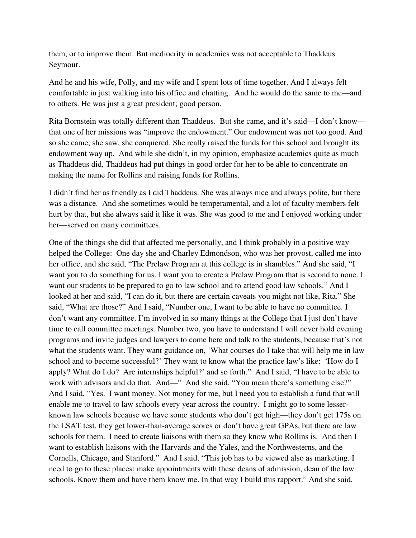them, or to improve them. But mediocrity in academics was not acceptable to Thaddeus Seymour.

And he and his wife, Polly, and my wife and I spent lots of time together. And I always felt comfortable in just walking into his office and chatting. And he would do the same to me—and to others. He was just a great president; good person.

Rita Bornstein was totally different than Thaddeus. But she came, and it's said—I don't know that one of her missions was "improve the endowment." Our endowment was not too good. And so she came, she saw, she conquered. She really raised the funds for this school and brought its endowment way up. And while she didn't, in my opinion, emphasize academics quite as much as Thaddeus did, Thaddeus had put things in good order for her to be able to concentrate on making the name for Rollins and raising funds for Rollins.

I didn't find her as friendly as I did Thaddeus. She was always nice and always polite, but there was a distance. And she sometimes would be temperamental, and a lot of faculty members felt hurt by that, but she always said it like it was. She was good to me and I enjoyed working under her—served on many committees.

One of the things she did that affected me personally, and I think probably in a positive way helped the College: One day she and Charley Edmondson, who was her provost, called me into her office, and she said, "The Prelaw Program at this college is in shambles." And she said, "I want you to do something for us. I want you to create a Prelaw Program that is second to none. I want our students to be prepared to go to law school and to attend good law schools." And I looked at her and said, "I can do it, but there are certain caveats you might not like, Rita." She said, "What are those?" And I said, "Number one, I want to be able to have no committee. I don't want any committee. I'm involved in so many things at the College that I just don't have time to call committee meetings. Number two, you have to understand I will never hold evening programs and invite judges and lawyers to come here and talk to the students, because that's not what the students want. They want guidance on, 'What courses do I take that will help me in law school and to become successful?' They want to know what the practice law's like: 'How do I apply? What do I do? Are internships helpful?' and so forth." And I said, "I have to be able to work with advisors and do that. And—" And she said, "You mean there's something else?" And I said, "Yes. I want money. Not money for me, but I need you to establish a fund that will enable me to travel to law schools every year across the country. I might go to some lesserknown law schools because we have some students who don't get high—they don't get 175s on the LSAT test, they get lower-than-average scores or don't have great GPAs, but there are law schools for them. I need to create liaisons with them so they know who Rollins is. And then I want to establish liaisons with the Harvards and the Yales, and the Northwesterns, and the Cornells, Chicago, and Stanford." And I said, "This job has to be viewed also as marketing. I need to go to these places; make appointments with these deans of admission, dean of the law schools. Know them and have them know me. In that way I build this rapport." And she said,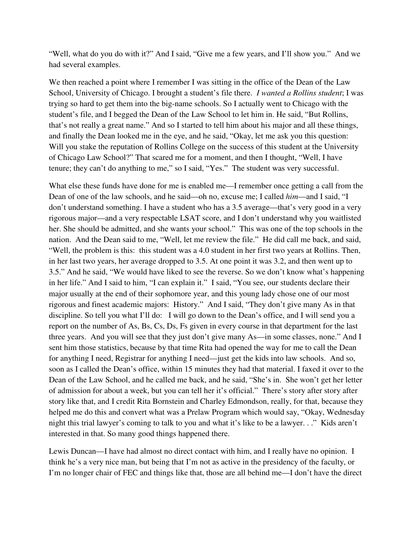"Well, what do you do with it?" And I said, "Give me a few years, and I'll show you." And we had several examples.

We then reached a point where I remember I was sitting in the office of the Dean of the Law School, University of Chicago. I brought a student's file there. *I wanted a Rollins student*; I was trying so hard to get them into the big-name schools. So I actually went to Chicago with the student's file, and I begged the Dean of the Law School to let him in. He said, "But Rollins, that's not really a great name." And so I started to tell him about his major and all these things, and finally the Dean looked me in the eye, and he said, "Okay, let me ask you this question: Will you stake the reputation of Rollins College on the success of this student at the University of Chicago Law School?" That scared me for a moment, and then I thought, "Well, I have tenure; they can't do anything to me," so I said, "Yes." The student was very successful.

What else these funds have done for me is enabled me—I remember once getting a call from the Dean of one of the law schools, and he said—oh no, excuse me; I called *him*—and I said, "I don't understand something. I have a student who has a 3.5 average—that's very good in a very rigorous major—and a very respectable LSAT score, and I don't understand why you waitlisted her. She should be admitted, and she wants your school." This was one of the top schools in the nation. And the Dean said to me, "Well, let me review the file." He did call me back, and said, "Well, the problem is this: this student was a 4.0 student in her first two years at Rollins. Then, in her last two years, her average dropped to 3.5. At one point it was 3.2, and then went up to 3.5." And he said, "We would have liked to see the reverse. So we don't know what's happening in her life." And I said to him, "I can explain it." I said, "You see, our students declare their major usually at the end of their sophomore year, and this young lady chose one of our most rigorous and finest academic majors: History." And I said, "They don't give many As in that discipline. So tell you what I'll do: I will go down to the Dean's office, and I will send you a report on the number of As, Bs, Cs, Ds, Fs given in every course in that department for the last three years. And you will see that they just don't give many As—in some classes, none." And I sent him those statistics, because by that time Rita had opened the way for me to call the Dean for anything I need, Registrar for anything I need—just get the kids into law schools. And so, soon as I called the Dean's office, within 15 minutes they had that material. I faxed it over to the Dean of the Law School, and he called me back, and he said, "She's in. She won't get her letter of admission for about a week, but you can tell her it's official." There's story after story after story like that, and I credit Rita Bornstein and Charley Edmondson, really, for that, because they helped me do this and convert what was a Prelaw Program which would say, "Okay, Wednesday night this trial lawyer's coming to talk to you and what it's like to be a lawyer. . ." Kids aren't interested in that. So many good things happened there.

Lewis Duncan—I have had almost no direct contact with him, and I really have no opinion. I think he's a very nice man, but being that I'm not as active in the presidency of the faculty, or I'm no longer chair of FEC and things like that, those are all behind me—I don't have the direct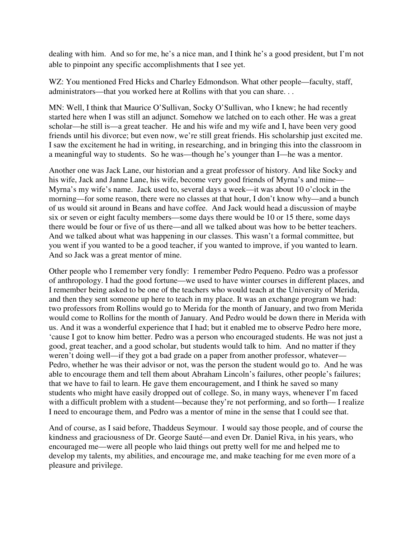dealing with him. And so for me, he's a nice man, and I think he's a good president, but I'm not able to pinpoint any specific accomplishments that I see yet.

WZ: You mentioned Fred Hicks and Charley Edmondson. What other people—faculty, staff, administrators—that you worked here at Rollins with that you can share. . .

MN: Well, I think that Maurice O'Sullivan, Socky O'Sullivan, who I knew; he had recently started here when I was still an adjunct. Somehow we latched on to each other. He was a great scholar—he still is—a great teacher. He and his wife and my wife and I, have been very good friends until his divorce; but even now, we're still great friends. His scholarship just excited me. I saw the excitement he had in writing, in researching, and in bringing this into the classroom in a meaningful way to students. So he was—though he's younger than I—he was a mentor.

Another one was Jack Lane, our historian and a great professor of history. And like Socky and his wife, Jack and Janne Lane, his wife, become very good friends of Myrna's and mine— Myrna's my wife's name. Jack used to, several days a week—it was about 10 o'clock in the morning—for some reason, there were no classes at that hour, I don't know why—and a bunch of us would sit around in Beans and have coffee. And Jack would head a discussion of maybe six or seven or eight faculty members—some days there would be 10 or 15 there, some days there would be four or five of us there—and all we talked about was how to be better teachers. And we talked about what was happening in our classes. This wasn't a formal committee, but you went if you wanted to be a good teacher, if you wanted to improve, if you wanted to learn. And so Jack was a great mentor of mine.

Other people who I remember very fondly: I remember Pedro Pequeno. Pedro was a professor of anthropology. I had the good fortune—we used to have winter courses in different places, and I remember being asked to be one of the teachers who would teach at the University of Merida, and then they sent someone up here to teach in my place. It was an exchange program we had: two professors from Rollins would go to Merida for the month of January, and two from Merida would come to Rollins for the month of January. And Pedro would be down there in Merida with us. And it was a wonderful experience that I had; but it enabled me to observe Pedro here more, 'cause I got to know him better. Pedro was a person who encouraged students. He was not just a good, great teacher, and a good scholar, but students would talk to him. And no matter if they weren't doing well—if they got a bad grade on a paper from another professor, whatever— Pedro, whether he was their advisor or not, was the person the student would go to. And he was able to encourage them and tell them about Abraham Lincoln's failures, other people's failures; that we have to fail to learn. He gave them encouragement, and I think he saved so many students who might have easily dropped out of college. So, in many ways, whenever I'm faced with a difficult problem with a student—because they're not performing, and so forth—I realize I need to encourage them, and Pedro was a mentor of mine in the sense that I could see that.

And of course, as I said before, Thaddeus Seymour. I would say those people, and of course the kindness and graciousness of Dr. George Sauté—and even Dr. Daniel Riva, in his years, who encouraged me—were all people who laid things out pretty well for me and helped me to develop my talents, my abilities, and encourage me, and make teaching for me even more of a pleasure and privilege.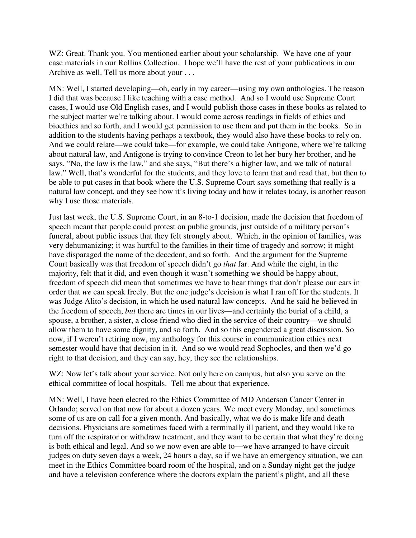WZ: Great. Thank you. You mentioned earlier about your scholarship. We have one of your case materials in our Rollins Collection. I hope we'll have the rest of your publications in our Archive as well. Tell us more about your . . .

MN: Well, I started developing—oh, early in my career—using my own anthologies. The reason I did that was because I like teaching with a case method. And so I would use Supreme Court cases, I would use Old English cases, and I would publish those cases in these books as related to the subject matter we're talking about. I would come across readings in fields of ethics and bioethics and so forth, and I would get permission to use them and put them in the books. So in addition to the students having perhaps a textbook, they would also have these books to rely on. And we could relate—we could take—for example, we could take Antigone, where we're talking about natural law, and Antigone is trying to convince Creon to let her bury her brother, and he says, "No, the law is the law," and she says, "But there's a higher law, and we talk of natural law." Well, that's wonderful for the students, and they love to learn that and read that, but then to be able to put cases in that book where the U.S. Supreme Court says something that really is a natural law concept, and they see how it's living today and how it relates today, is another reason why I use those materials.

Just last week, the U.S. Supreme Court, in an 8-to-1 decision, made the decision that freedom of speech meant that people could protest on public grounds, just outside of a military person's funeral, about public issues that they felt strongly about. Which, in the opinion of families, was very dehumanizing; it was hurtful to the families in their time of tragedy and sorrow; it might have disparaged the name of the decedent, and so forth. And the argument for the Supreme Court basically was that freedom of speech didn't go *that* far. And while the eight, in the majority, felt that it did, and even though it wasn't something we should be happy about, freedom of speech did mean that sometimes we have to hear things that don't please our ears in order that *we* can speak freely. But the one judge's decision is what I ran off for the students. It was Judge Alito's decision, in which he used natural law concepts. And he said he believed in the freedom of speech, *but* there are times in our lives—and certainly the burial of a child, a spouse, a brother, a sister, a close friend who died in the service of their country—we should allow them to have some dignity, and so forth. And so this engendered a great discussion. So now, if I weren't retiring now, my anthology for this course in communication ethics next semester would have that decision in it. And so we would read Sophocles, and then we'd go right to that decision, and they can say, hey, they see the relationships.

WZ: Now let's talk about your service. Not only here on campus, but also you serve on the ethical committee of local hospitals. Tell me about that experience.

MN: Well, I have been elected to the Ethics Committee of MD Anderson Cancer Center in Orlando; served on that now for about a dozen years. We meet every Monday, and sometimes some of us are on call for a given month. And basically, what we do is make life and death decisions. Physicians are sometimes faced with a terminally ill patient, and they would like to turn off the respirator or withdraw treatment, and they want to be certain that what they're doing is both ethical and legal. And so we now even are able to—we have arranged to have circuit judges on duty seven days a week, 24 hours a day, so if we have an emergency situation, we can meet in the Ethics Committee board room of the hospital, and on a Sunday night get the judge and have a television conference where the doctors explain the patient's plight, and all these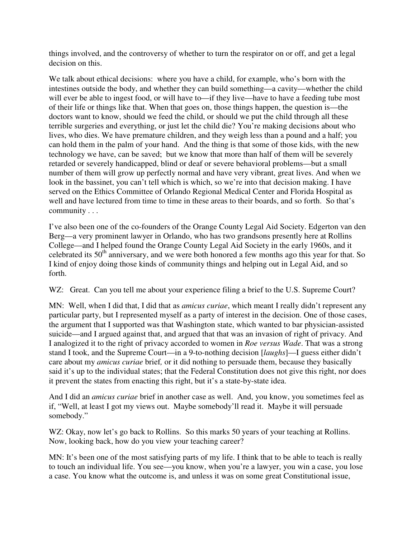things involved, and the controversy of whether to turn the respirator on or off, and get a legal decision on this.

We talk about ethical decisions: where you have a child, for example, who's born with the intestines outside the body, and whether they can build something—a cavity—whether the child will ever be able to ingest food, or will have to—if they live—have to have a feeding tube most of their life or things like that. When that goes on, those things happen, the question is—the doctors want to know, should we feed the child, or should we put the child through all these terrible surgeries and everything, or just let the child die? You're making decisions about who lives, who dies. We have premature children, and they weigh less than a pound and a half; you can hold them in the palm of your hand. And the thing is that some of those kids, with the new technology we have, can be saved; but we know that more than half of them will be severely retarded or severely handicapped, blind or deaf or severe behavioral problems—but a small number of them will grow up perfectly normal and have very vibrant, great lives. And when we look in the bassinet, you can't tell which is which, so we're into that decision making. I have served on the Ethics Committee of Orlando Regional Medical Center and Florida Hospital as well and have lectured from time to time in these areas to their boards, and so forth. So that's community . . .

I've also been one of the co-founders of the Orange County Legal Aid Society. Edgerton van den Berg—a very prominent lawyer in Orlando, who has two grandsons presently here at Rollins College—and I helped found the Orange County Legal Aid Society in the early 1960s, and it celebrated its  $50<sup>th</sup>$  anniversary, and we were both honored a few months ago this year for that. So I kind of enjoy doing those kinds of community things and helping out in Legal Aid, and so forth.

WZ: Great. Can you tell me about your experience filing a brief to the U.S. Supreme Court?

MN: Well, when I did that, I did that as *amicus curiae*, which meant I really didn't represent any particular party, but I represented myself as a party of interest in the decision. One of those cases, the argument that I supported was that Washington state, which wanted to bar physician-assisted suicide—and I argued against that, and argued that that was an invasion of right of privacy. And I analogized it to the right of privacy accorded to women in *Roe versus Wade*. That was a strong stand I took, and the Supreme Court—in a 9-to-nothing decision [*laughs*]—I guess either didn't care about my *amicus curiae* brief*,* or it did nothing to persuade them, because they basically said it's up to the individual states; that the Federal Constitution does not give this right, nor does it prevent the states from enacting this right, but it's a state-by-state idea.

And I did an *amicus curiae* brief in another case as well. And, you know, you sometimes feel as if, "Well, at least I got my views out. Maybe somebody'll read it. Maybe it will persuade somebody."

WZ: Okay, now let's go back to Rollins. So this marks 50 years of your teaching at Rollins. Now, looking back, how do you view your teaching career?

MN: It's been one of the most satisfying parts of my life. I think that to be able to teach is really to touch an individual life. You see—you know, when you're a lawyer, you win a case, you lose a case. You know what the outcome is, and unless it was on some great Constitutional issue,